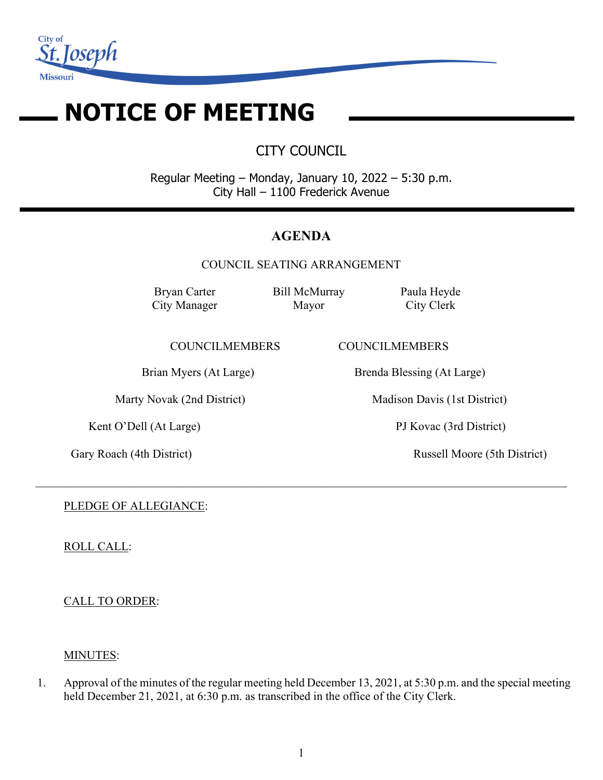

# **NOTICE OF MEETING**

CITY COUNCIL

Regular Meeting – Monday, January 10, 2022 – 5:30 p.m. City Hall – 1100 Frederick Avenue

# **AGENDA**

COUNCIL SEATING ARRANGEMENT

 $\_$  , and the set of the set of the set of the set of the set of the set of the set of the set of the set of the set of the set of the set of the set of the set of the set of the set of the set of the set of the set of th

Bryan Carter City Manager Bill McMurray Mayor

Paula Heyde City Clerk

COUNCILMEMBERS COUNCILMEMBERS

Kent O'Dell (At Large) PJ Kovac (3rd District)

Brian Myers (At Large) Brenda Blessing (At Large)

Marty Novak (2nd District) Madison Davis (1st District)

Gary Roach (4th District) Russell Moore (5th District)

PLEDGE OF ALLEGIANCE:

ROLL CALL:

CALL TO ORDER:

# MINUTES:

1. Approval of the minutes of the regular meeting held December 13, 2021, at 5:30 p.m. and the special meeting held December 21, 2021, at 6:30 p.m. as transcribed in the office of the City Clerk.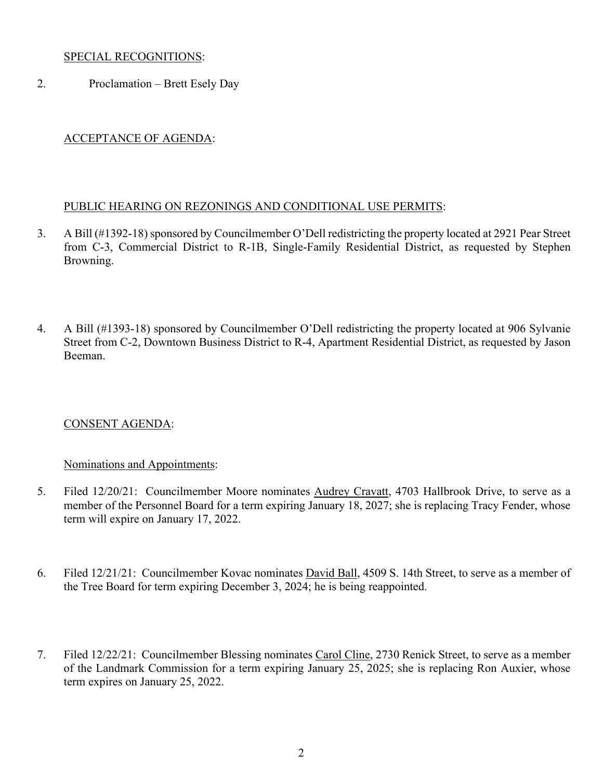## SPECIAL RECOGNITIONS:

2. Proclamation – Brett Esely Day

# ACCEPTANCE OF AGENDA:

## PUBLIC HEARING ON REZONINGS AND CONDITIONAL USE PERMITS:

- 3. A Bill (#1392-18) sponsored by Councilmember O'Dell redistricting the property located at 2921 Pear Street from C-3, Commercial District to R-1B, Single-Family Residential District, as requested by Stephen Browning.
- 4. A Bill (#1393-18) sponsored by Councilmember O'Dell redistricting the property located at 906 Sylvanie Street from C-2, Downtown Business District to R-4, Apartment Residential District, as requested by Jason Beeman.

# CONSENT AGENDA:

## Nominations and Appointments:

- 5. Filed 12/20/21: Councilmember Moore nominates Audrey Cravatt, 4703 Hallbrook Drive, to serve as a member of the Personnel Board for a term expiring January 18, 2027; she is replacing Tracy Fender, whose term will expire on January 17, 2022.
- 6. Filed 12/21/21: Councilmember Kovac nominates David Ball, 4509 S. 14th Street, to serve as a member of the Tree Board for term expiring December 3, 2024; he is being reappointed.
- 7. Filed 12/22/21: Councilmember Blessing nominates Carol Cline, 2730 Renick Street, to serve as a member of the Landmark Commission for a term expiring January 25, 2025; she is replacing Ron Auxier, whose term expires on January 25, 2022.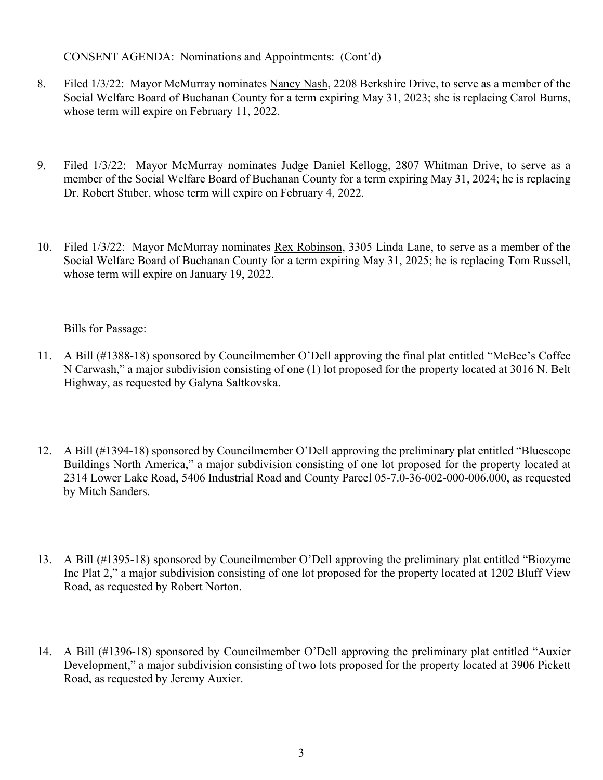## CONSENT AGENDA: Nominations and Appointments: (Cont'd)

- 8. Filed 1/3/22: Mayor McMurray nominates Nancy Nash, 2208 Berkshire Drive, to serve as a member of the Social Welfare Board of Buchanan County for a term expiring May 31, 2023; she is replacing Carol Burns, whose term will expire on February 11, 2022.
- 9. Filed 1/3/22: Mayor McMurray nominates Judge Daniel Kellogg, 2807 Whitman Drive, to serve as a member of the Social Welfare Board of Buchanan County for a term expiring May 31, 2024; he is replacing Dr. Robert Stuber, whose term will expire on February 4, 2022.
- 10. Filed 1/3/22: Mayor McMurray nominates Rex Robinson, 3305 Linda Lane, to serve as a member of the Social Welfare Board of Buchanan County for a term expiring May 31, 2025; he is replacing Tom Russell, whose term will expire on January 19, 2022.

# Bills for Passage:

- 11. A Bill (#1388-18) sponsored by Councilmember O'Dell approving the final plat entitled "McBee's Coffee N Carwash," a major subdivision consisting of one (1) lot proposed for the property located at 3016 N. Belt Highway, as requested by Galyna Saltkovska.
- 12. A Bill (#1394-18) sponsored by Councilmember O'Dell approving the preliminary plat entitled "Bluescope Buildings North America," a major subdivision consisting of one lot proposed for the property located at 2314 Lower Lake Road, 5406 Industrial Road and County Parcel 05-7.0-36-002-000-006.000, as requested by Mitch Sanders.
- 13. A Bill (#1395-18) sponsored by Councilmember O'Dell approving the preliminary plat entitled "Biozyme Inc Plat 2," a major subdivision consisting of one lot proposed for the property located at 1202 Bluff View Road, as requested by Robert Norton.
- 14. A Bill (#1396-18) sponsored by Councilmember O'Dell approving the preliminary plat entitled "Auxier Development," a major subdivision consisting of two lots proposed for the property located at 3906 Pickett Road, as requested by Jeremy Auxier.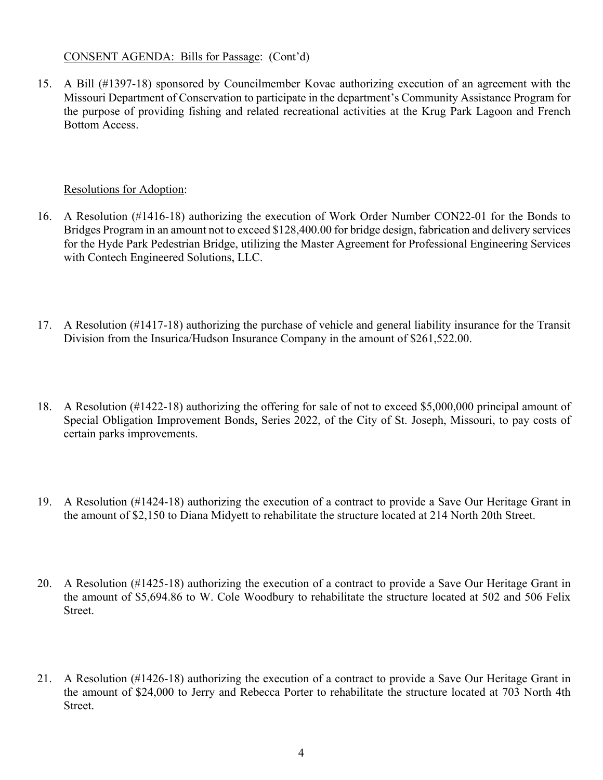## CONSENT AGENDA: Bills for Passage: (Cont'd)

15. A Bill (#1397-18) sponsored by Councilmember Kovac authorizing execution of an agreement with the Missouri Department of Conservation to participate in the department's Community Assistance Program for the purpose of providing fishing and related recreational activities at the Krug Park Lagoon and French Bottom Access.

## Resolutions for Adoption:

- 16. A Resolution (#1416-18) authorizing the execution of Work Order Number CON22-01 for the Bonds to Bridges Program in an amount not to exceed \$128,400.00 for bridge design, fabrication and delivery services for the Hyde Park Pedestrian Bridge, utilizing the Master Agreement for Professional Engineering Services with Contech Engineered Solutions, LLC.
- 17. A Resolution (#1417-18) authorizing the purchase of vehicle and general liability insurance for the Transit Division from the Insurica/Hudson Insurance Company in the amount of \$261,522.00.
- 18. A Resolution (#1422-18) authorizing the offering for sale of not to exceed \$5,000,000 principal amount of Special Obligation Improvement Bonds, Series 2022, of the City of St. Joseph, Missouri, to pay costs of certain parks improvements.
- 19. A Resolution (#1424-18) authorizing the execution of a contract to provide a Save Our Heritage Grant in the amount of \$2,150 to Diana Midyett to rehabilitate the structure located at 214 North 20th Street.
- 20. A Resolution (#1425-18) authorizing the execution of a contract to provide a Save Our Heritage Grant in the amount of \$5,694.86 to W. Cole Woodbury to rehabilitate the structure located at 502 and 506 Felix Street.
- 21. A Resolution (#1426-18) authorizing the execution of a contract to provide a Save Our Heritage Grant in the amount of \$24,000 to Jerry and Rebecca Porter to rehabilitate the structure located at 703 North 4th Street.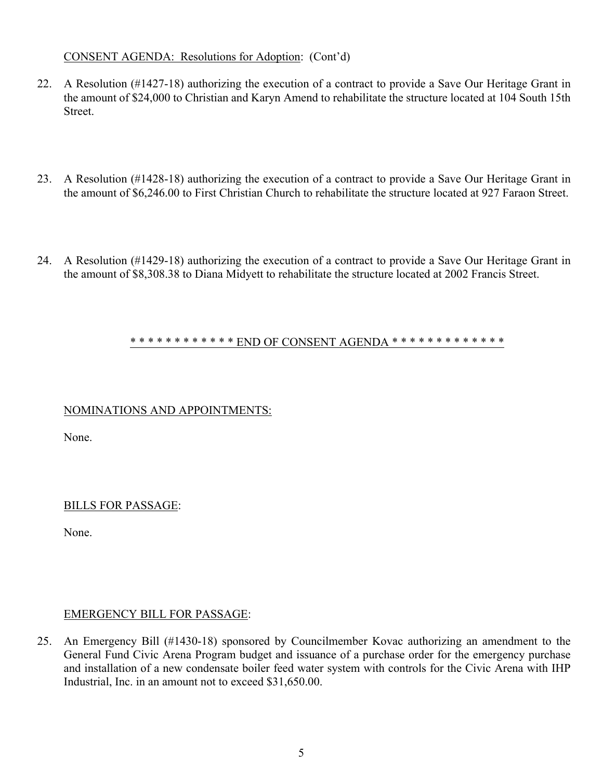## CONSENT AGENDA: Resolutions for Adoption: (Cont'd)

- 22. A Resolution (#1427-18) authorizing the execution of a contract to provide a Save Our Heritage Grant in the amount of \$24,000 to Christian and Karyn Amend to rehabilitate the structure located at 104 South 15th Street.
- 23. A Resolution (#1428-18) authorizing the execution of a contract to provide a Save Our Heritage Grant in the amount of \$6,246.00 to First Christian Church to rehabilitate the structure located at 927 Faraon Street.
- 24. A Resolution (#1429-18) authorizing the execution of a contract to provide a Save Our Heritage Grant in the amount of \$8,308.38 to Diana Midyett to rehabilitate the structure located at 2002 Francis Street.

#### \* \* \* \* \* \* \* \* \* \* \* \* END OF CONSENT AGENDA \* \* \* \* \* \* \* \* \* \* \* \* \* \* \*

## NOMINATIONS AND APPOINTMENTS:

None.

## BILLS FOR PASSAGE:

None.

## EMERGENCY BILL FOR PASSAGE:

25. An Emergency Bill (#1430-18) sponsored by Councilmember Kovac authorizing an amendment to the General Fund Civic Arena Program budget and issuance of a purchase order for the emergency purchase and installation of a new condensate boiler feed water system with controls for the Civic Arena with IHP Industrial, Inc. in an amount not to exceed \$31,650.00.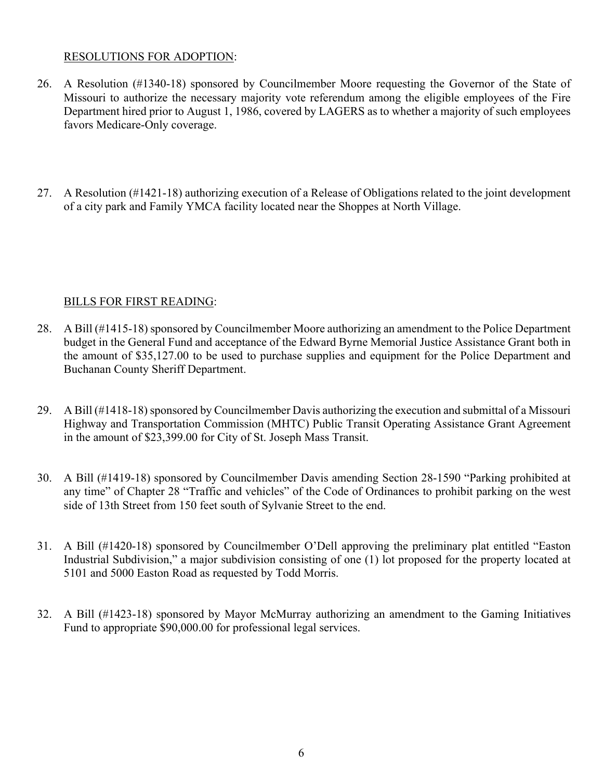## RESOLUTIONS FOR ADOPTION:

- 26. A Resolution (#1340-18) sponsored by Councilmember Moore requesting the Governor of the State of Missouri to authorize the necessary majority vote referendum among the eligible employees of the Fire Department hired prior to August 1, 1986, covered by LAGERS as to whether a majority of such employees favors Medicare-Only coverage.
- 27. A Resolution (#1421-18) authorizing execution of a Release of Obligations related to the joint development of a city park and Family YMCA facility located near the Shoppes at North Village.

# BILLS FOR FIRST READING:

- 28. A Bill (#1415-18) sponsored by Councilmember Moore authorizing an amendment to the Police Department budget in the General Fund and acceptance of the Edward Byrne Memorial Justice Assistance Grant both in the amount of \$35,127.00 to be used to purchase supplies and equipment for the Police Department and Buchanan County Sheriff Department.
- 29. A Bill (#1418-18) sponsored by Councilmember Davis authorizing the execution and submittal of a Missouri Highway and Transportation Commission (MHTC) Public Transit Operating Assistance Grant Agreement in the amount of \$23,399.00 for City of St. Joseph Mass Transit.
- 30. A Bill (#1419-18) sponsored by Councilmember Davis amending Section 28-1590 "Parking prohibited at any time" of Chapter 28 "Traffic and vehicles" of the Code of Ordinances to prohibit parking on the west side of 13th Street from 150 feet south of Sylvanie Street to the end.
- 31. A Bill (#1420-18) sponsored by Councilmember O'Dell approving the preliminary plat entitled "Easton Industrial Subdivision," a major subdivision consisting of one (1) lot proposed for the property located at 5101 and 5000 Easton Road as requested by Todd Morris.
- 32. A Bill (#1423-18) sponsored by Mayor McMurray authorizing an amendment to the Gaming Initiatives Fund to appropriate \$90,000.00 for professional legal services.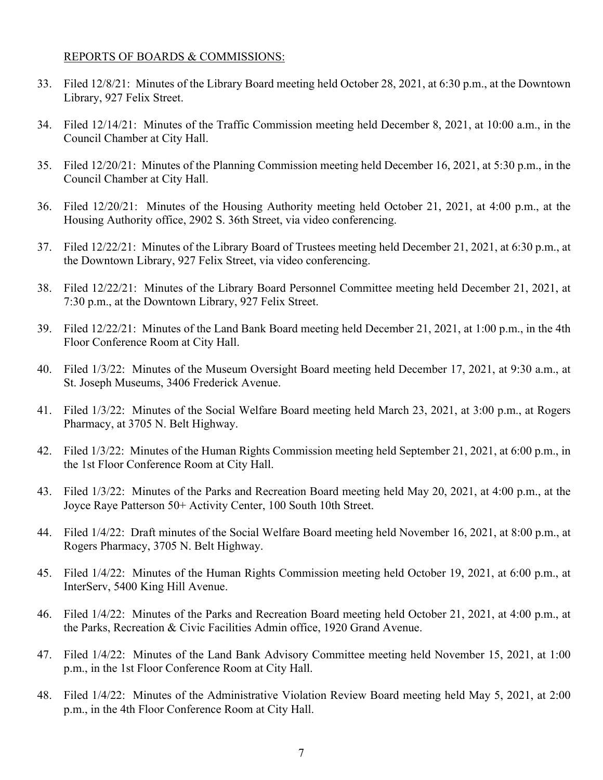#### REPORTS OF BOARDS & COMMISSIONS:

- 33. Filed 12/8/21: Minutes of the Library Board meeting held October 28, 2021, at 6:30 p.m., at the Downtown Library, 927 Felix Street.
- 34. Filed 12/14/21: Minutes of the Traffic Commission meeting held December 8, 2021, at 10:00 a.m., in the Council Chamber at City Hall.
- 35. Filed 12/20/21: Minutes of the Planning Commission meeting held December 16, 2021, at 5:30 p.m., in the Council Chamber at City Hall.
- 36. Filed 12/20/21: Minutes of the Housing Authority meeting held October 21, 2021, at 4:00 p.m., at the Housing Authority office, 2902 S. 36th Street, via video conferencing.
- 37. Filed 12/22/21: Minutes of the Library Board of Trustees meeting held December 21, 2021, at 6:30 p.m., at the Downtown Library, 927 Felix Street, via video conferencing.
- 38. Filed 12/22/21: Minutes of the Library Board Personnel Committee meeting held December 21, 2021, at 7:30 p.m., at the Downtown Library, 927 Felix Street.
- 39. Filed 12/22/21: Minutes of the Land Bank Board meeting held December 21, 2021, at 1:00 p.m., in the 4th Floor Conference Room at City Hall.
- 40. Filed 1/3/22: Minutes of the Museum Oversight Board meeting held December 17, 2021, at 9:30 a.m., at St. Joseph Museums, 3406 Frederick Avenue.
- 41. Filed 1/3/22: Minutes of the Social Welfare Board meeting held March 23, 2021, at 3:00 p.m., at Rogers Pharmacy, at 3705 N. Belt Highway.
- 42. Filed 1/3/22: Minutes of the Human Rights Commission meeting held September 21, 2021, at 6:00 p.m., in the 1st Floor Conference Room at City Hall.
- 43. Filed 1/3/22: Minutes of the Parks and Recreation Board meeting held May 20, 2021, at 4:00 p.m., at the Joyce Raye Patterson 50+ Activity Center, 100 South 10th Street.
- 44. Filed 1/4/22: Draft minutes of the Social Welfare Board meeting held November 16, 2021, at 8:00 p.m., at Rogers Pharmacy, 3705 N. Belt Highway.
- 45. Filed 1/4/22: Minutes of the Human Rights Commission meeting held October 19, 2021, at 6:00 p.m., at InterServ, 5400 King Hill Avenue.
- 46. Filed 1/4/22: Minutes of the Parks and Recreation Board meeting held October 21, 2021, at 4:00 p.m., at the Parks, Recreation & Civic Facilities Admin office, 1920 Grand Avenue.
- 47. Filed 1/4/22: Minutes of the Land Bank Advisory Committee meeting held November 15, 2021, at 1:00 p.m., in the 1st Floor Conference Room at City Hall.
- 48. Filed 1/4/22: Minutes of the Administrative Violation Review Board meeting held May 5, 2021, at 2:00 p.m., in the 4th Floor Conference Room at City Hall.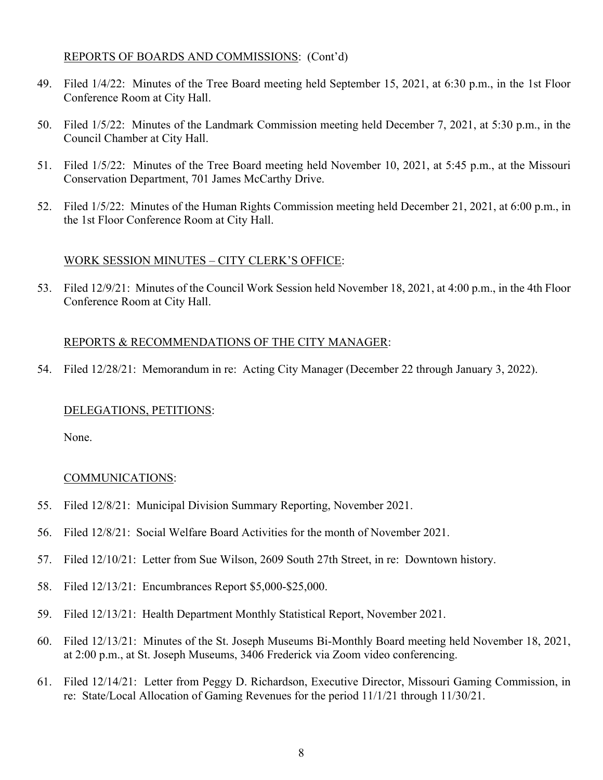## REPORTS OF BOARDS AND COMMISSIONS: (Cont'd)

- 49. Filed 1/4/22: Minutes of the Tree Board meeting held September 15, 2021, at 6:30 p.m., in the 1st Floor Conference Room at City Hall.
- 50. Filed 1/5/22: Minutes of the Landmark Commission meeting held December 7, 2021, at 5:30 p.m., in the Council Chamber at City Hall.
- 51. Filed 1/5/22: Minutes of the Tree Board meeting held November 10, 2021, at 5:45 p.m., at the Missouri Conservation Department, 701 James McCarthy Drive.
- 52. Filed 1/5/22: Minutes of the Human Rights Commission meeting held December 21, 2021, at 6:00 p.m., in the 1st Floor Conference Room at City Hall.

#### WORK SESSION MINUTES – CITY CLERK'S OFFICE:

53. Filed 12/9/21: Minutes of the Council Work Session held November 18, 2021, at 4:00 p.m., in the 4th Floor Conference Room at City Hall.

#### REPORTS & RECOMMENDATIONS OF THE CITY MANAGER:

54. Filed 12/28/21: Memorandum in re: Acting City Manager (December 22 through January 3, 2022).

#### DELEGATIONS, PETITIONS:

None.

#### COMMUNICATIONS:

- 55. Filed 12/8/21: Municipal Division Summary Reporting, November 2021.
- 56. Filed 12/8/21: Social Welfare Board Activities for the month of November 2021.
- 57. Filed 12/10/21: Letter from Sue Wilson, 2609 South 27th Street, in re: Downtown history.
- 58. Filed 12/13/21: Encumbrances Report \$5,000-\$25,000.
- 59. Filed 12/13/21: Health Department Monthly Statistical Report, November 2021.
- 60. Filed 12/13/21: Minutes of the St. Joseph Museums Bi-Monthly Board meeting held November 18, 2021, at 2:00 p.m., at St. Joseph Museums, 3406 Frederick via Zoom video conferencing.
- 61. Filed 12/14/21: Letter from Peggy D. Richardson, Executive Director, Missouri Gaming Commission, in re: State/Local Allocation of Gaming Revenues for the period 11/1/21 through 11/30/21.